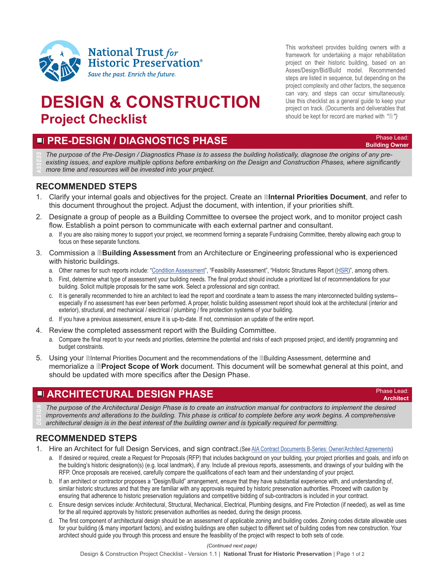

# **DESIGN & CONSTRUCTION Project Checklist**

This worksheet provides building owners with a framework for undertaking a major rehabilitation project on their historic building, based on an Asses/Design/Bid/Build model. Recommended steps are listed in sequence, but depending on the project complexity and other factors, the sequence can vary, and steps can occur simultaneously. Use this checklist as a general guide to keep your project on track. (Documents and deliverables that should be kept for record are marked with *"")*

### **Example 20 PRE-DESIGN / DIAGNOSTICS PHASE**

**Building Owner** 

**Architect**

*The purpose of the Pre-Design / Diagnostics Phase is to assess the building holistically, diagnose the origins of any preexisting issues, and explore multiple options before embarking on the Design and Construction Phases, where significantly ASSESS more time and resources will be invested into your project.*

### **RECOMMENDED STEPS**

- 1. Clarify your internal goals and objectives for the project. Create an **Internal Priorities Document**, and refer to this document throughout the project. Adjust the document, with intention, if your priorities shift.
- 2. Designate a group of people as a Building Committee to oversee the project work, and to monitor project cash flow. Establish a point person to communicate with each external partner and consultant.
	- a. If you are also raising money to support your project, we recommend forming a separate Fundraising Committee, thereby allowing each group to focus on these separate functions.
- 3. Commission a **Building Assessment** from an Architecture or Engineering professional who is experienced with historic buildings.
	- a. Other names for such reports include: "[Condition Assessment](https://www.ncptt.nps.gov/blog/condition-assessments-tips-for-historic-building-owners/)", "Feasibility Assessment", "Historic Structures Report ([HSR](https://www.nps.gov/tps/how-to-preserve/briefs/43-historic-structure-reports.htm))", among others.
	- b. First, determine what type of assessment your building needs. The final product should include a prioritized list of recommendations for your building. Solicit multiple proposals for the same work. Select a professional and sign contract.
	- c. It is generally recommended to hire an architect to lead the report and coordinate a team to assess the many interconnected building systems- especially if no assessment has ever been performed. A proper, holistic building assessment report should look at the architectural (interior and exterior), structural, and mechanical / electrical / plumbing / fire protection systems of your building.
	- d. If you have a previous assessment, ensure it is up-to-date. If not, commission an update of the entire report.
- 4. Review the completed assessment report with the Building Committee.
	- a. Compare the final report to your needs and priorities, determine the potential and risks of each proposed project, and identify programming and budget constraints.
- 5. Using your **Internal Priorities Document and the recommendations of the Indulgional Assessment, determine and** memorialize a **Project Scope of Work** document. This document will be somewhat general at this point, and should be updated with more specifics after the Design Phase.

# **ARCHITECTURAL DESIGN PHASE** *Phase Lead:*

The purpose of the Architectural Design Phase is to create an instruction manual for contractors to implement the desired *improvements and alterations to the building. This phase is critical to complete before any work begins. A comprehensive DESIGN architectural design is in the best interest of the building owner and is typically required for permitting.*

### **RECOMMENDED STEPS**

- 1. Hire an Architect for full Design Services, and sign contract.(See [AIA Contract Documents B-Series: Owner/Architect Agreements\)](https://www.aiacontracts.org/contract-doc-pages/71171-b-series-ownerarchitect-agreements)
	- a. If desired or required, create a Request for Proposals (RFP) that includes background on your building, your project priorities and goals, and info on the building's historic designation(s) (e.g. local landmark), if any. Include all previous reports, assessments, and drawings of your building with the RFP. Once proposals are received, carefully compare the qualifications of each team and their understanding of your project.
	- b. If an architect or contractor proposes a "Design/Build" arrangement, ensure that they have substantial experience with, and understanding of, similar historic structures and that they are familiar with any approvals required by historic preservation authorities. Proceed with caution by ensuring that adherence to historic preservation regulations and competitive bidding of sub-contractors is included in your contract.
	- c. Ensure design services include: Architectural, Structural, Mechanical, Electrical, Plumbing designs, and Fire Protection (if needed), as well as time for the all required approvals by historic preservation authorities as needed, during the design process.
	- d. The first component of architectural design should be an assessment of applicable zoning and building codes. Zoning codes dictate allowable uses for your building (& many important factors), and existing buildings are often subject to different set of building codes from new construction. Your architect should guide you through this process and ensure the feasibility of the project with respect to both sets of code.